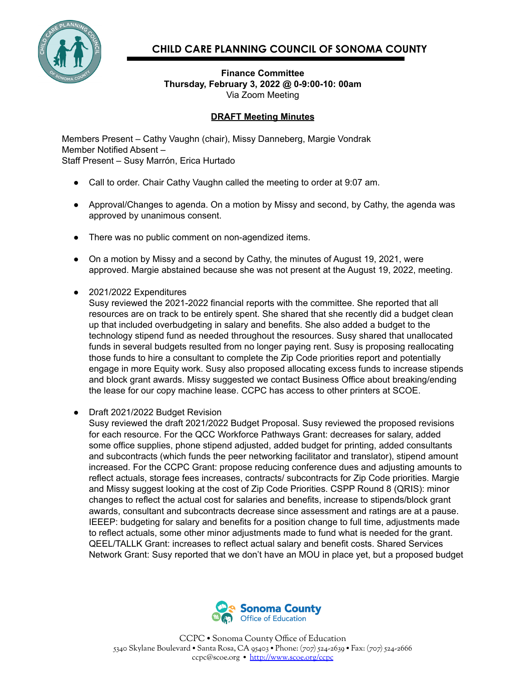

## **CHILD CARE PLANNING COUNCIL OF SONOMA COUNTY**

## **Finance Committee Thursday, February 3, 2022 @ 0-9:00-10: 00am** Via Zoom Meeting

## **DRAFT Meeting Minutes**

Members Present – Cathy Vaughn (chair), Missy Danneberg, Margie Vondrak Member Notified Absent – Staff Present – Susy Marrón, Erica Hurtado

- Call to order. Chair Cathy Vaughn called the meeting to order at 9:07 am.
- Approval/Changes to agenda. On a motion by Missy and second, by Cathy, the agenda was approved by unanimous consent.
- There was no public comment on non-agendized items.
- On a motion by Missy and a second by Cathy, the minutes of August 19, 2021, were approved. Margie abstained because she was not present at the August 19, 2022, meeting.
- 2021/2022 Expenditures

Susy reviewed the 2021-2022 financial reports with the committee. She reported that all resources are on track to be entirely spent. She shared that she recently did a budget clean up that included overbudgeting in salary and benefits. She also added a budget to the technology stipend fund as needed throughout the resources. Susy shared that unallocated funds in several budgets resulted from no longer paying rent. Susy is proposing reallocating those funds to hire a consultant to complete the Zip Code priorities report and potentially engage in more Equity work. Susy also proposed allocating excess funds to increase stipends and block grant awards. Missy suggested we contact Business Office about breaking/ending the lease for our copy machine lease. CCPC has access to other printers at SCOE.

● Draft 2021/2022 Budget Revision

Susy reviewed the draft 2021/2022 Budget Proposal. Susy reviewed the proposed revisions for each resource. For the QCC Workforce Pathways Grant: decreases for salary, added some office supplies, phone stipend adjusted, added budget for printing, added consultants and subcontracts (which funds the peer networking facilitator and translator), stipend amount increased. For the CCPC Grant: propose reducing conference dues and adjusting amounts to reflect actuals, storage fees increases, contracts/ subcontracts for Zip Code priorities. Margie and Missy suggest looking at the cost of Zip Code Priorities. CSPP Round 8 (QRIS): minor changes to reflect the actual cost for salaries and benefits, increase to stipends/block grant awards, consultant and subcontracts decrease since assessment and ratings are at a pause. IEEEP: budgeting for salary and benefits for a position change to full time, adjustments made to reflect actuals, some other minor adjustments made to fund what is needed for the grant. QEEL/TALLK Grant: increases to reflect actual salary and benefit costs. Shared Services Network Grant: Susy reported that we don't have an MOU in place yet, but a proposed budget